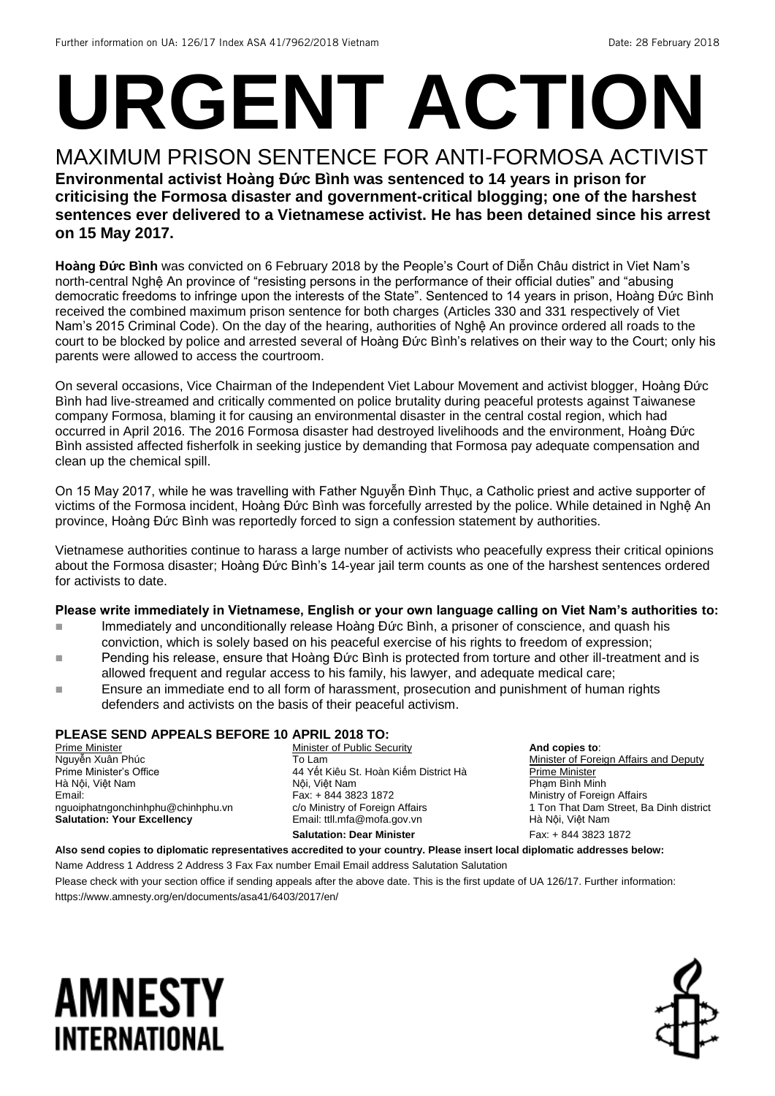# **URGENT ACTION**

#### MAXIMUM PRISON SENTENCE FOR ANTI-FORMOSA ACTIVIST **Environmental activist Hoàng Đức Bình was sentenced to 14 years in prison for criticising the Formosa disaster and government-critical blogging; one of the harshest sentences ever delivered to a Vietnamese activist. He has been detained since his arrest on 15 May 2017.**

**Hoàng Đức Bình** was convicted on 6 February 2018 by the People's Court of Diễn Châu district in Viet Nam's north-central Nghệ An province of "resisting persons in the performance of their official duties" and "abusing democratic freedoms to infringe upon the interests of the State". Sentenced to 14 years in prison, Hoàng Đức Bình received the combined maximum prison sentence for both charges (Articles 330 and 331 respectively of Viet Nam's 2015 Criminal Code). On the day of the hearing, authorities of Nghệ An province ordered all roads to the court to be blocked by police and arrested several of Hoàng Đức Bình's relatives on their way to the Court; only his parents were allowed to access the courtroom.

On several occasions, Vice Chairman of the Independent Viet Labour Movement and activist blogger, Hoàng Đức Bình had live-streamed and critically commented on police brutality during peaceful protests against Taiwanese company Formosa, blaming it for causing an environmental disaster in the central costal region, which had occurred in April 2016. The 2016 Formosa disaster had destroyed livelihoods and the environment, Hoàng Đức Bình assisted affected fisherfolk in seeking justice by demanding that Formosa pay adequate compensation and clean up the chemical spill.

On 15 May 2017, while he was travelling with Father Nguyễn Đình Thục, a Catholic priest and active supporter of victims of the Formosa incident, Hoàng Đức Bình was forcefully arrested by the police. While detained in Nghệ An province, Hoàng Đức Bình was reportedly forced to sign a confession statement by authorities.

Vietnamese authorities continue to harass a large number of activists who peacefully express their critical opinions about the Formosa disaster; Hoàng Đức Bình's 14-year jail term counts as one of the harshest sentences ordered for activists to date.

#### **Please write immediately in Vietnamese, English or your own language calling on Viet Nam's authorities to:**

- Immediately and unconditionally release Hoàng Đức Bình, a prisoner of conscience, and quash his conviction, which is solely based on his peaceful exercise of his rights to freedom of expression;
- ■■■■ Pending his release, ensure that Hoàng Đức Bình is protected from torture and other ill-treatment and is allowed frequent and regular access to his family, his lawyer, and adequate medical care;
- **Ensure an immediate end to all form of harassment, prosecution and punishment of human rights** defenders and activists on the basis of their peaceful activism.

#### **PLEASE SEND APPEALS BEFORE 10 APRIL 2018 TO:**

Prime Minister Nguyễn Xuân Phúc Prime Minister's Office Hà Nội, Việt Nam Email: nguoiphatngonchinhphu@chinhphu.vn **Salutation: Your Excellency**

Minister of Public Security To Lam 44 Yết Kiêu St. Hoàn Kiếm District Hà Nội, Việt Nam Fax: + 844 3823 1872 c/o Ministry of Foreign Affairs Email: ttll.mfa@mofa.gov.vn **Salutation: Dear Minister**

**And copies to**: Minister of Foreign Affairs and Deputy Prime Minister Phạm Bình Minh Ministry of Foreign Affairs 1 Ton That Dam Street, Ba Dinh district Hà Nội, Việt Nam Fax: + 844 3823 1872

**Also send copies to diplomatic representatives accredited to your country. Please insert local diplomatic addresses below:**

Name Address 1 Address 2 Address 3 Fax Fax number Email Email address Salutation Salutation

Please check with your section office if sending appeals after the above date. This is the first update of UA 126/17. Further information: https://www.amnesty.org/en/documents/asa41/6403/2017/en/